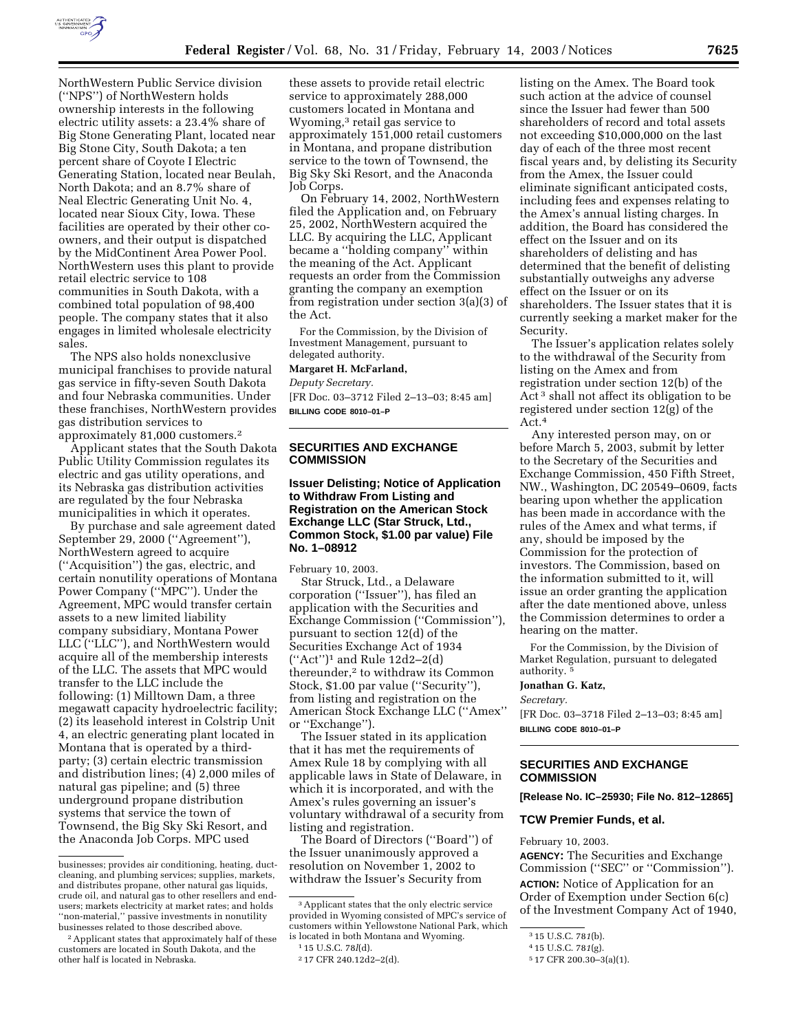

NorthWestern Public Service division (''NPS'') of NorthWestern holds ownership interests in the following electric utility assets: a 23.4% share of Big Stone Generating Plant, located near Big Stone City, South Dakota; a ten percent share of Coyote I Electric Generating Station, located near Beulah, North Dakota; and an 8.7% share of Neal Electric Generating Unit No. 4, located near Sioux City, Iowa. These facilities are operated by their other coowners, and their output is dispatched by the MidContinent Area Power Pool. NorthWestern uses this plant to provide retail electric service to 108 communities in South Dakota, with a combined total population of 98,400 people. The company states that it also engages in limited wholesale electricity sales.

The NPS also holds nonexclusive municipal franchises to provide natural gas service in fifty-seven South Dakota and four Nebraska communities. Under these franchises, NorthWestern provides gas distribution services to approximately 81,000 customers.2

Applicant states that the South Dakota Public Utility Commission regulates its electric and gas utility operations, and its Nebraska gas distribution activities are regulated by the four Nebraska municipalities in which it operates.

By purchase and sale agreement dated September 29, 2000 (''Agreement''), NorthWestern agreed to acquire (''Acquisition'') the gas, electric, and certain nonutility operations of Montana Power Company (''MPC''). Under the Agreement, MPC would transfer certain assets to a new limited liability company subsidiary, Montana Power LLC (''LLC''), and NorthWestern would acquire all of the membership interests of the LLC. The assets that MPC would transfer to the LLC include the following: (1) Milltown Dam, a three megawatt capacity hydroelectric facility; (2) its leasehold interest in Colstrip Unit 4, an electric generating plant located in Montana that is operated by a thirdparty; (3) certain electric transmission and distribution lines; (4) 2,000 miles of natural gas pipeline; and (5) three underground propane distribution systems that service the town of Townsend, the Big Sky Ski Resort, and the Anaconda Job Corps. MPC used

these assets to provide retail electric service to approximately 288,000 customers located in Montana and Wyoming,3 retail gas service to approximately 151,000 retail customers in Montana, and propane distribution service to the town of Townsend, the Big Sky Ski Resort, and the Anaconda Job Corps.

On February 14, 2002, NorthWestern filed the Application and, on February 25, 2002, NorthWestern acquired the LLC. By acquiring the LLC, Applicant became a ''holding company'' within the meaning of the Act. Applicant requests an order from the Commission granting the company an exemption from registration under section 3(a)(3) of the Act.

For the Commission, by the Division of Investment Management, pursuant to delegated authority.

#### **Margaret H. McFarland,**

*Deputy Secretary.* [FR Doc. 03–3712 Filed 2–13–03; 8:45 am] **BILLING CODE 8010–01–P**

## **SECURITIES AND EXCHANGE COMMISSION**

## **Issuer Delisting; Notice of Application to Withdraw From Listing and Registration on the American Stock Exchange LLC (Star Struck, Ltd., Common Stock, \$1.00 par value) File No. 1–08912**

February 10, 2003.

Star Struck, Ltd., a Delaware corporation (''Issuer''), has filed an application with the Securities and Exchange Commission (''Commission''), pursuant to section 12(d) of the Securities Exchange Act of 1934 (''Act'')1 and Rule 12d2–2(d) thereunder,<sup>2</sup> to withdraw its Common Stock, \$1.00 par value (''Security''), from listing and registration on the American Stock Exchange LLC (''Amex'' or ''Exchange'').

The Issuer stated in its application that it has met the requirements of Amex Rule 18 by complying with all applicable laws in State of Delaware, in which it is incorporated, and with the Amex's rules governing an issuer's voluntary withdrawal of a security from listing and registration.

The Board of Directors (''Board'') of the Issuer unanimously approved a resolution on November 1, 2002 to withdraw the Issuer's Security from

listing on the Amex. The Board took such action at the advice of counsel since the Issuer had fewer than 500 shareholders of record and total assets not exceeding \$10,000,000 on the last day of each of the three most recent fiscal years and, by delisting its Security from the Amex, the Issuer could eliminate significant anticipated costs, including fees and expenses relating to the Amex's annual listing charges. In addition, the Board has considered the effect on the Issuer and on its shareholders of delisting and has determined that the benefit of delisting substantially outweighs any adverse effect on the Issuer or on its shareholders. The Issuer states that it is currently seeking a market maker for the Security.

The Issuer's application relates solely to the withdrawal of the Security from listing on the Amex and from registration under section 12(b) of the Act 3 shall not affect its obligation to be registered under section 12(g) of the Act.4

Any interested person may, on or before March 5, 2003, submit by letter to the Secretary of the Securities and Exchange Commission, 450 Fifth Street, NW., Washington, DC 20549–0609, facts bearing upon whether the application has been made in accordance with the rules of the Amex and what terms, if any, should be imposed by the Commission for the protection of investors. The Commission, based on the information submitted to it, will issue an order granting the application after the date mentioned above, unless the Commission determines to order a hearing on the matter.

For the Commission, by the Division of Market Regulation, pursuant to delegated authority. 5

### **Jonathan G. Katz,**

*Secretary.*

[FR Doc. 03–3718 Filed 2–13–03; 8:45 am] **BILLING CODE 8010–01–P**

# **SECURITIES AND EXCHANGE COMMISSION**

**[Release No. IC–25930; File No. 812–12865]** 

#### **TCW Premier Funds, et al.**

February 10, 2003.

**AGENCY:** The Securities and Exchange Commission (''SEC'' or ''Commission''). **ACTION:** Notice of Application for an Order of Exemption under Section 6(c) of the Investment Company Act of 1940,

businesses; provides air conditioning, heating, ductcleaning, and plumbing services; supplies, markets, and distributes propane, other natural gas liquids, crude oil, and natural gas to other resellers and endusers; markets electricity at market rates; and holds ''non-material,'' passive investments in nonutility businesses related to those described above.

<sup>2</sup>Applicant states that approximately half of these customers are located in South Dakota, and the other half is located in Nebraska.

<sup>3</sup>Applicant states that the only electric service provided in Wyoming consisted of MPC's service of customers within Yellowstone National Park, which is located in both Montana and Wyoming.

<sup>1</sup> 15 U.S.C. 78*l*(d).

<sup>2</sup> 17 CFR 240.12d2–2(d).

<sup>3</sup> 15 U.S.C. 78*1*(b).

<sup>4</sup> 15 U.S.C. 78*1*(g).

<sup>5</sup> 17 CFR 200.30–3(a)(1).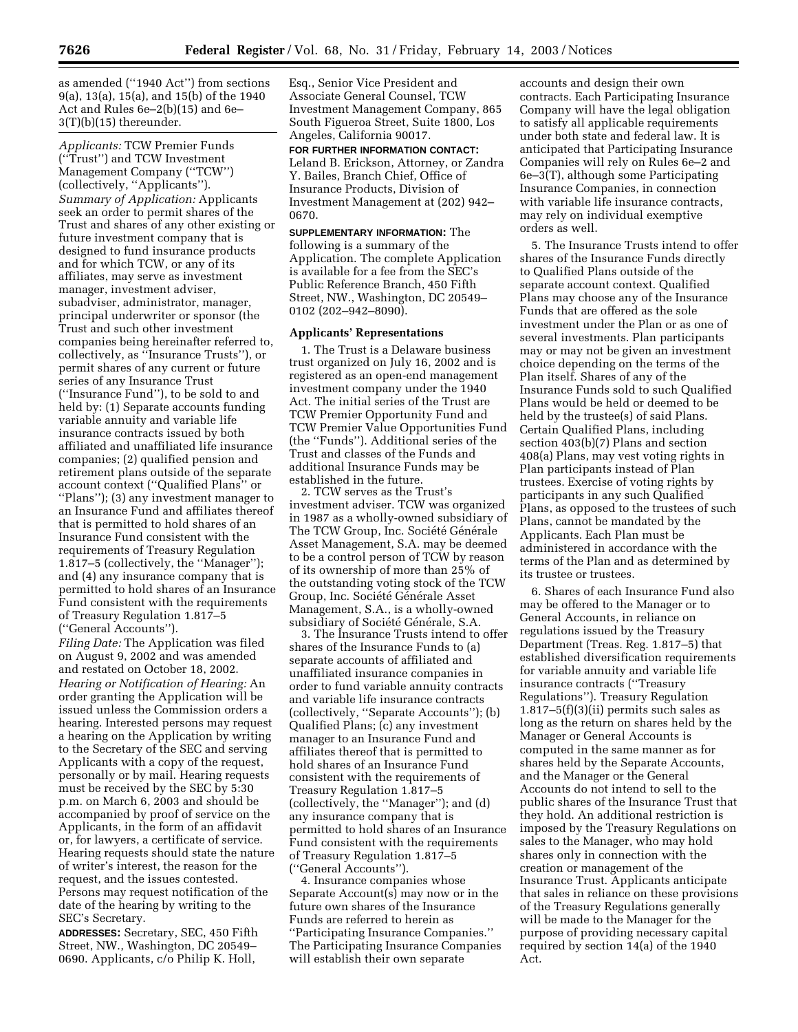as amended (''1940 Act'') from sections 9(a), 13(a), 15(a), and 15(b) of the 1940 Act and Rules 6e–2(b)(15) and 6e– 3(T)(b)(15) thereunder.

*Applicants:* TCW Premier Funds (''Trust'') and TCW Investment Management Company (''TCW'') (collectively, ''Applicants''). *Summary of Application:* Applicants seek an order to permit shares of the Trust and shares of any other existing or future investment company that is designed to fund insurance products and for which TCW, or any of its affiliates, may serve as investment manager, investment adviser, subadviser, administrator, manager, principal underwriter or sponsor (the Trust and such other investment companies being hereinafter referred to, collectively, as ''Insurance Trusts''), or permit shares of any current or future series of any Insurance Trust (''Insurance Fund''), to be sold to and held by: (1) Separate accounts funding variable annuity and variable life insurance contracts issued by both affiliated and unaffiliated life insurance companies; (2) qualified pension and retirement plans outside of the separate account context (''Qualified Plans'' or ''Plans''); (3) any investment manager to an Insurance Fund and affiliates thereof that is permitted to hold shares of an Insurance Fund consistent with the requirements of Treasury Regulation 1.817–5 (collectively, the ''Manager''); and (4) any insurance company that is permitted to hold shares of an Insurance Fund consistent with the requirements of Treasury Regulation 1.817–5 (''General Accounts'').

*Filing Date:* The Application was filed on August 9, 2002 and was amended and restated on October 18, 2002. *Hearing or Notification of Hearing:* An order granting the Application will be issued unless the Commission orders a hearing. Interested persons may request a hearing on the Application by writing to the Secretary of the SEC and serving Applicants with a copy of the request, personally or by mail. Hearing requests must be received by the SEC by 5:30 p.m. on March 6, 2003 and should be accompanied by proof of service on the Applicants, in the form of an affidavit or, for lawyers, a certificate of service. Hearing requests should state the nature of writer's interest, the reason for the request, and the issues contested. Persons may request notification of the date of the hearing by writing to the SEC's Secretary.

**ADDRESSES:** Secretary, SEC, 450 Fifth Street, NW., Washington, DC 20549– 0690. Applicants, c/o Philip K. Holl,

Esq., Senior Vice President and Associate General Counsel, TCW Investment Management Company, 865 South Figueroa Street, Suite 1800, Los Angeles, California 90017.

**FOR FURTHER INFORMATION CONTACT:** Leland B. Erickson, Attorney, or Zandra Y. Bailes, Branch Chief, Office of Insurance Products, Division of Investment Management at (202) 942– 0670.

**SUPPLEMENTARY INFORMATION:** The following is a summary of the Application. The complete Application is available for a fee from the SEC's Public Reference Branch, 450 Fifth Street, NW., Washington, DC 20549– 0102 (202–942–8090).

### **Applicants' Representations**

1. The Trust is a Delaware business trust organized on July 16, 2002 and is registered as an open-end management investment company under the 1940 Act. The initial series of the Trust are TCW Premier Opportunity Fund and TCW Premier Value Opportunities Fund (the ''Funds''). Additional series of the Trust and classes of the Funds and additional Insurance Funds may be established in the future.

2. TCW serves as the Trust's investment adviser. TCW was organized in 1987 as a wholly-owned subsidiary of The TCW Group, Inc. Société Générale Asset Management, S.A. may be deemed to be a control person of TCW by reason of its ownership of more than 25% of the outstanding voting stock of the TCW Group, Inc. Société Générale Asset Management, S.A., is a wholly-owned subsidiary of Société Générale, S.A.

3. The Insurance Trusts intend to offer shares of the Insurance Funds to (a) separate accounts of affiliated and unaffiliated insurance companies in order to fund variable annuity contracts and variable life insurance contracts (collectively, ''Separate Accounts''); (b) Qualified Plans; (c) any investment manager to an Insurance Fund and affiliates thereof that is permitted to hold shares of an Insurance Fund consistent with the requirements of Treasury Regulation 1.817–5 (collectively, the ''Manager''); and (d) any insurance company that is permitted to hold shares of an Insurance Fund consistent with the requirements of Treasury Regulation 1.817–5 (''General Accounts'').

4. Insurance companies whose Separate Account(s) may now or in the future own shares of the Insurance Funds are referred to herein as ''Participating Insurance Companies.'' The Participating Insurance Companies will establish their own separate

accounts and design their own contracts. Each Participating Insurance Company will have the legal obligation to satisfy all applicable requirements under both state and federal law. It is anticipated that Participating Insurance Companies will rely on Rules 6e–2 and 6e–3(T), although some Participating Insurance Companies, in connection with variable life insurance contracts, may rely on individual exemptive orders as well.

5. The Insurance Trusts intend to offer shares of the Insurance Funds directly to Qualified Plans outside of the separate account context. Qualified Plans may choose any of the Insurance Funds that are offered as the sole investment under the Plan or as one of several investments. Plan participants may or may not be given an investment choice depending on the terms of the Plan itself. Shares of any of the Insurance Funds sold to such Qualified Plans would be held or deemed to be held by the trustee(s) of said Plans. Certain Qualified Plans, including section 403(b)(7) Plans and section 408(a) Plans, may vest voting rights in Plan participants instead of Plan trustees. Exercise of voting rights by participants in any such Qualified Plans, as opposed to the trustees of such Plans, cannot be mandated by the Applicants. Each Plan must be administered in accordance with the terms of the Plan and as determined by its trustee or trustees.

6. Shares of each Insurance Fund also may be offered to the Manager or to General Accounts, in reliance on regulations issued by the Treasury Department (Treas. Reg. 1.817–5) that established diversification requirements for variable annuity and variable life insurance contracts (''Treasury Regulations''). Treasury Regulation 1.817–5(f)(3)(ii) permits such sales as long as the return on shares held by the Manager or General Accounts is computed in the same manner as for shares held by the Separate Accounts, and the Manager or the General Accounts do not intend to sell to the public shares of the Insurance Trust that they hold. An additional restriction is imposed by the Treasury Regulations on sales to the Manager, who may hold shares only in connection with the creation or management of the Insurance Trust. Applicants anticipate that sales in reliance on these provisions of the Treasury Regulations generally will be made to the Manager for the purpose of providing necessary capital required by section 14(a) of the 1940 Act.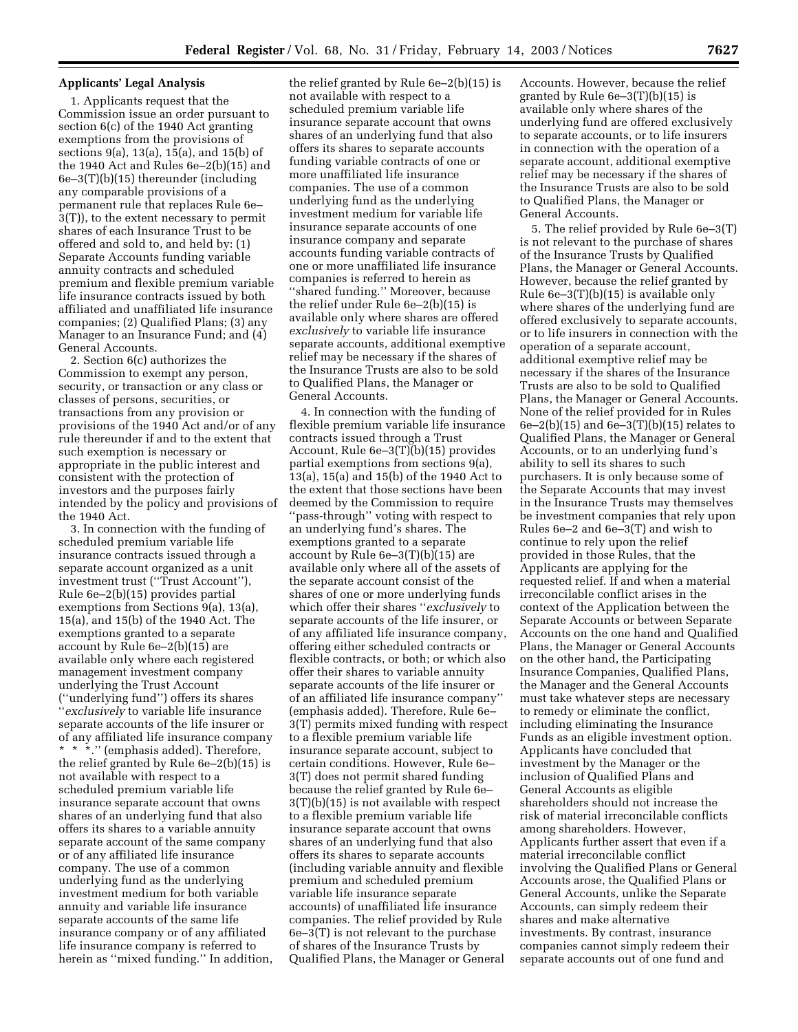# **Applicants' Legal Analysis**

1. Applicants request that the Commission issue an order pursuant to section 6(c) of the 1940 Act granting exemptions from the provisions of sections 9(a), 13(a), 15(a), and 15(b) of the 1940 Act and Rules 6e–2(b)(15) and 6e–3(T)(b)(15) thereunder (including any comparable provisions of a permanent rule that replaces Rule 6e– 3(T)), to the extent necessary to permit shares of each Insurance Trust to be offered and sold to, and held by: (1) Separate Accounts funding variable annuity contracts and scheduled premium and flexible premium variable life insurance contracts issued by both affiliated and unaffiliated life insurance companies; (2) Qualified Plans; (3) any Manager to an Insurance Fund; and (4) General Accounts.

2. Section 6(c) authorizes the Commission to exempt any person, security, or transaction or any class or classes of persons, securities, or transactions from any provision or provisions of the 1940 Act and/or of any rule thereunder if and to the extent that such exemption is necessary or appropriate in the public interest and consistent with the protection of investors and the purposes fairly intended by the policy and provisions of the 1940 Act.

3. In connection with the funding of scheduled premium variable life insurance contracts issued through a separate account organized as a unit investment trust (''Trust Account''), Rule 6e–2(b)(15) provides partial exemptions from Sections 9(a), 13(a), 15(a), and 15(b) of the 1940 Act. The exemptions granted to a separate account by Rule 6e–2(b)(15) are available only where each registered management investment company underlying the Trust Account (''underlying fund'') offers its shares ''*exclusively* to variable life insurance separate accounts of the life insurer or of any affiliated life insurance company \* \* \*.'' (emphasis added). Therefore, the relief granted by Rule 6e–2(b)(15) is not available with respect to a scheduled premium variable life insurance separate account that owns shares of an underlying fund that also offers its shares to a variable annuity separate account of the same company or of any affiliated life insurance company. The use of a common underlying fund as the underlying investment medium for both variable annuity and variable life insurance separate accounts of the same life insurance company or of any affiliated life insurance company is referred to herein as ''mixed funding.'' In addition,

the relief granted by Rule 6e–2(b)(15) is not available with respect to a scheduled premium variable life insurance separate account that owns shares of an underlying fund that also offers its shares to separate accounts funding variable contracts of one or more unaffiliated life insurance companies. The use of a common underlying fund as the underlying investment medium for variable life insurance separate accounts of one insurance company and separate accounts funding variable contracts of one or more unaffiliated life insurance companies is referred to herein as ''shared funding.'' Moreover, because the relief under Rule 6e–2(b)(15) is available only where shares are offered *exclusively* to variable life insurance separate accounts, additional exemptive relief may be necessary if the shares of the Insurance Trusts are also to be sold to Qualified Plans, the Manager or General Accounts.

4. In connection with the funding of flexible premium variable life insurance contracts issued through a Trust Account, Rule 6e–3(T)(b)(15) provides partial exemptions from sections 9(a), 13(a), 15(a) and 15(b) of the 1940 Act to the extent that those sections have been deemed by the Commission to require ''pass-through'' voting with respect to an underlying fund's shares. The exemptions granted to a separate account by Rule 6e–3(T)(b)(15) are available only where all of the assets of the separate account consist of the shares of one or more underlying funds which offer their shares ''*exclusively* to separate accounts of the life insurer, or of any affiliated life insurance company, offering either scheduled contracts or flexible contracts, or both; or which also offer their shares to variable annuity separate accounts of the life insurer or of an affiliated life insurance company'' (emphasis added). Therefore, Rule 6e– 3(T) permits mixed funding with respect to a flexible premium variable life insurance separate account, subject to certain conditions. However, Rule 6e– 3(T) does not permit shared funding because the relief granted by Rule 6e– 3(T)(b)(15) is not available with respect to a flexible premium variable life insurance separate account that owns shares of an underlying fund that also offers its shares to separate accounts (including variable annuity and flexible premium and scheduled premium variable life insurance separate accounts) of unaffiliated life insurance companies. The relief provided by Rule 6e–3(T) is not relevant to the purchase of shares of the Insurance Trusts by Qualified Plans, the Manager or General

Accounts. However, because the relief granted by Rule 6e–3(T)(b)(15) is available only where shares of the underlying fund are offered exclusively to separate accounts, or to life insurers in connection with the operation of a separate account, additional exemptive relief may be necessary if the shares of the Insurance Trusts are also to be sold to Qualified Plans, the Manager or General Accounts.

5. The relief provided by Rule 6e–3(T) is not relevant to the purchase of shares of the Insurance Trusts by Qualified Plans, the Manager or General Accounts. However, because the relief granted by Rule 6e–3(T)(b)(15) is available only where shares of the underlying fund are offered exclusively to separate accounts, or to life insurers in connection with the operation of a separate account, additional exemptive relief may be necessary if the shares of the Insurance Trusts are also to be sold to Qualified Plans, the Manager or General Accounts. None of the relief provided for in Rules  $6e-2(b)(15)$  and  $6e-3(T)(b)(15)$  relates to Qualified Plans, the Manager or General Accounts, or to an underlying fund's ability to sell its shares to such purchasers. It is only because some of the Separate Accounts that may invest in the Insurance Trusts may themselves be investment companies that rely upon Rules 6e–2 and 6e–3(T) and wish to continue to rely upon the relief provided in those Rules, that the Applicants are applying for the requested relief. If and when a material irreconcilable conflict arises in the context of the Application between the Separate Accounts or between Separate Accounts on the one hand and Qualified Plans, the Manager or General Accounts on the other hand, the Participating Insurance Companies, Qualified Plans, the Manager and the General Accounts must take whatever steps are necessary to remedy or eliminate the conflict, including eliminating the Insurance Funds as an eligible investment option. Applicants have concluded that investment by the Manager or the inclusion of Qualified Plans and General Accounts as eligible shareholders should not increase the risk of material irreconcilable conflicts among shareholders. However, Applicants further assert that even if a material irreconcilable conflict involving the Qualified Plans or General Accounts arose, the Qualified Plans or General Accounts, unlike the Separate Accounts, can simply redeem their shares and make alternative investments. By contrast, insurance companies cannot simply redeem their separate accounts out of one fund and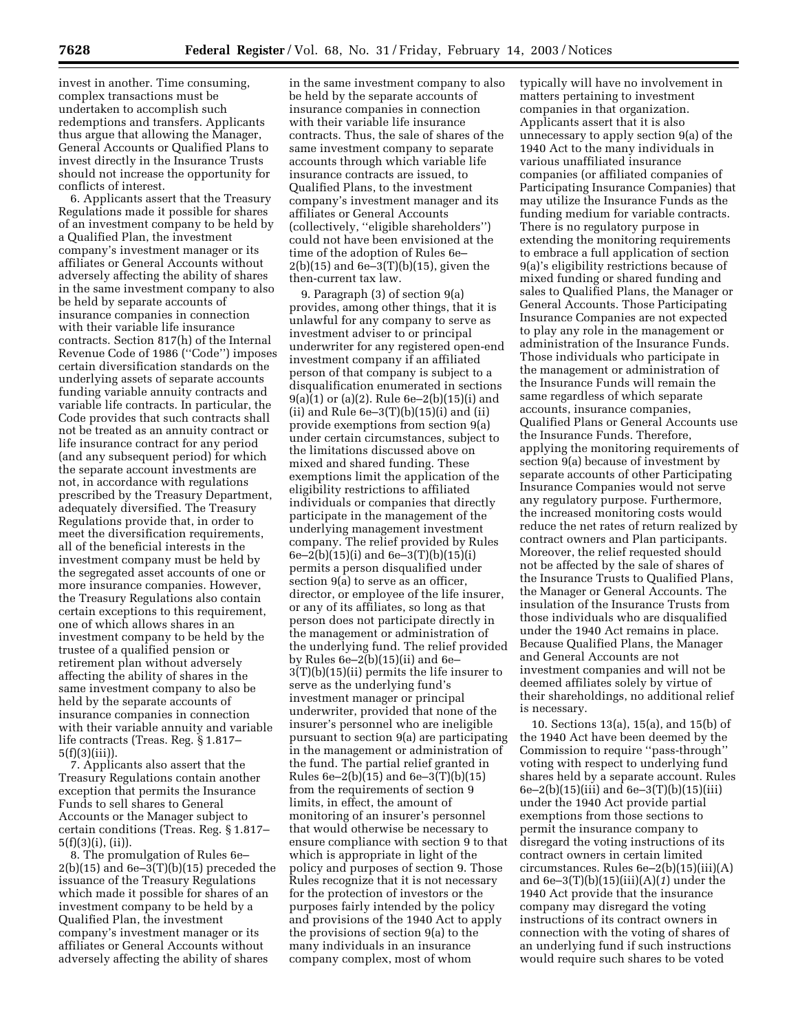invest in another. Time consuming, complex transactions must be undertaken to accomplish such redemptions and transfers. Applicants thus argue that allowing the Manager, General Accounts or Qualified Plans to invest directly in the Insurance Trusts should not increase the opportunity for conflicts of interest.

6. Applicants assert that the Treasury Regulations made it possible for shares of an investment company to be held by a Qualified Plan, the investment company's investment manager or its affiliates or General Accounts without adversely affecting the ability of shares in the same investment company to also be held by separate accounts of insurance companies in connection with their variable life insurance contracts. Section 817(h) of the Internal Revenue Code of 1986 (''Code'') imposes certain diversification standards on the underlying assets of separate accounts funding variable annuity contracts and variable life contracts. In particular, the Code provides that such contracts shall not be treated as an annuity contract or life insurance contract for any period (and any subsequent period) for which the separate account investments are not, in accordance with regulations prescribed by the Treasury Department, adequately diversified. The Treasury Regulations provide that, in order to meet the diversification requirements, all of the beneficial interests in the investment company must be held by the segregated asset accounts of one or more insurance companies. However, the Treasury Regulations also contain certain exceptions to this requirement, one of which allows shares in an investment company to be held by the trustee of a qualified pension or retirement plan without adversely affecting the ability of shares in the same investment company to also be held by the separate accounts of insurance companies in connection with their variable annuity and variable life contracts (Treas. Reg. § 1.817– 5(f)(3)(iii)).

7. Applicants also assert that the Treasury Regulations contain another exception that permits the Insurance Funds to sell shares to General Accounts or the Manager subject to certain conditions (Treas. Reg. § 1.817– 5(f)(3)(i), (ii)).

8. The promulgation of Rules 6e–  $2(b)(15)$  and 6e–3 $(T)(b)(15)$  preceded the issuance of the Treasury Regulations which made it possible for shares of an investment company to be held by a Qualified Plan, the investment company's investment manager or its affiliates or General Accounts without adversely affecting the ability of shares

in the same investment company to also be held by the separate accounts of insurance companies in connection with their variable life insurance contracts. Thus, the sale of shares of the same investment company to separate accounts through which variable life insurance contracts are issued, to Qualified Plans, to the investment company's investment manager and its affiliates or General Accounts (collectively, ''eligible shareholders'') could not have been envisioned at the time of the adoption of Rules 6e– 2(b)(15) and 6e–3(T)(b)(15), given the then-current tax law.

9. Paragraph (3) of section 9(a) provides, among other things, that it is unlawful for any company to serve as investment adviser to or principal underwriter for any registered open-end investment company if an affiliated person of that company is subject to a disqualification enumerated in sections 9(a)(1) or (a)(2). Rule 6e–2(b)(15)(i) and (ii) and Rule  $6e-3(T)(b)(15)(i)$  and (ii) provide exemptions from section 9(a) under certain circumstances, subject to the limitations discussed above on mixed and shared funding. These exemptions limit the application of the eligibility restrictions to affiliated individuals or companies that directly participate in the management of the underlying management investment company. The relief provided by Rules 6e–2(b)(15)(i) and 6e–3(T)(b)(15)(i) permits a person disqualified under section 9(a) to serve as an officer, director, or employee of the life insurer, or any of its affiliates, so long as that person does not participate directly in the management or administration of the underlying fund. The relief provided by Rules 6e–2(b)(15)(ii) and 6e– 3(T)(b)(15)(ii) permits the life insurer to serve as the underlying fund's investment manager or principal underwriter, provided that none of the insurer's personnel who are ineligible pursuant to section 9(a) are participating in the management or administration of the fund. The partial relief granted in Rules 6e–2(b)(15) and 6e–3(T)(b)(15) from the requirements of section 9 limits, in effect, the amount of monitoring of an insurer's personnel that would otherwise be necessary to ensure compliance with section 9 to that which is appropriate in light of the policy and purposes of section 9. Those Rules recognize that it is not necessary for the protection of investors or the purposes fairly intended by the policy and provisions of the 1940 Act to apply the provisions of section 9(a) to the many individuals in an insurance company complex, most of whom

typically will have no involvement in matters pertaining to investment companies in that organization. Applicants assert that it is also unnecessary to apply section 9(a) of the 1940 Act to the many individuals in various unaffiliated insurance companies (or affiliated companies of Participating Insurance Companies) that may utilize the Insurance Funds as the funding medium for variable contracts. There is no regulatory purpose in extending the monitoring requirements to embrace a full application of section 9(a)'s eligibility restrictions because of mixed funding or shared funding and sales to Qualified Plans, the Manager or General Accounts. Those Participating Insurance Companies are not expected to play any role in the management or administration of the Insurance Funds. Those individuals who participate in the management or administration of the Insurance Funds will remain the same regardless of which separate accounts, insurance companies, Qualified Plans or General Accounts use the Insurance Funds. Therefore, applying the monitoring requirements of section 9(a) because of investment by separate accounts of other Participating Insurance Companies would not serve any regulatory purpose. Furthermore, the increased monitoring costs would reduce the net rates of return realized by contract owners and Plan participants. Moreover, the relief requested should not be affected by the sale of shares of the Insurance Trusts to Qualified Plans, the Manager or General Accounts. The insulation of the Insurance Trusts from those individuals who are disqualified under the 1940 Act remains in place. Because Qualified Plans, the Manager and General Accounts are not investment companies and will not be deemed affiliates solely by virtue of their shareholdings, no additional relief is necessary.

10. Sections 13(a), 15(a), and 15(b) of the 1940 Act have been deemed by the Commission to require ''pass-through'' voting with respect to underlying fund shares held by a separate account. Rules 6e–2(b)(15)(iii) and 6e–3(T)(b)(15)(iii) under the 1940 Act provide partial exemptions from those sections to permit the insurance company to disregard the voting instructions of its contract owners in certain limited circumstances. Rules 6e–2(b)(15)(iii)(A) and 6e–3(T)(b)(15)(iii)(A)(*1*) under the 1940 Act provide that the insurance company may disregard the voting instructions of its contract owners in connection with the voting of shares of an underlying fund if such instructions would require such shares to be voted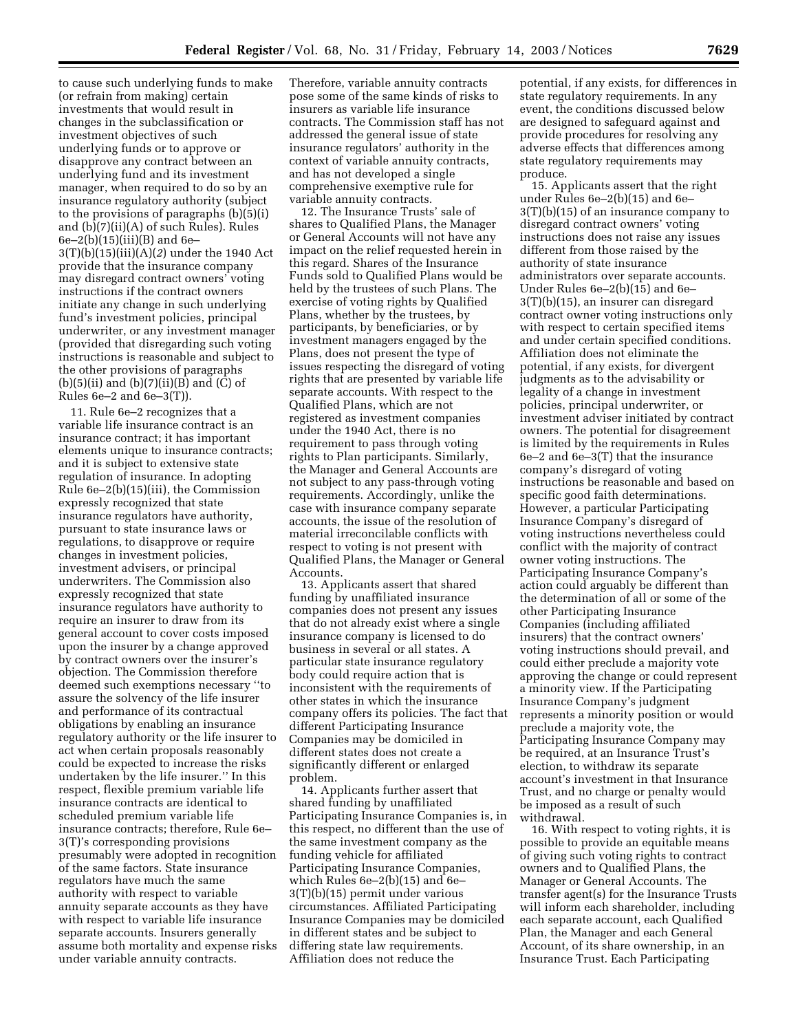to cause such underlying funds to make (or refrain from making) certain investments that would result in changes in the subclassification or investment objectives of such underlying funds or to approve or disapprove any contract between an underlying fund and its investment manager, when required to do so by an insurance regulatory authority (subject to the provisions of paragraphs (b)(5)(i) and (b)(7)(ii)(A) of such Rules). Rules  $6e-2(b)(15)(iii)(B)$  and  $6e-$ 3(T)(b)(15)(iii)(A)(*2*) under the 1940 Act provide that the insurance company may disregard contract owners' voting instructions if the contract owners initiate any change in such underlying fund's investment policies, principal underwriter, or any investment manager (provided that disregarding such voting instructions is reasonable and subject to the other provisions of paragraphs  $(b)(5)(ii)$  and  $(b)(7)(ii)(B)$  and  $(C)$  of Rules 6e–2 and 6e–3(T)).

11. Rule 6e–2 recognizes that a variable life insurance contract is an insurance contract; it has important elements unique to insurance contracts; and it is subject to extensive state regulation of insurance. In adopting Rule 6e–2(b)(15)(iii), the Commission expressly recognized that state insurance regulators have authority, pursuant to state insurance laws or regulations, to disapprove or require changes in investment policies, investment advisers, or principal underwriters. The Commission also expressly recognized that state insurance regulators have authority to require an insurer to draw from its general account to cover costs imposed upon the insurer by a change approved by contract owners over the insurer's objection. The Commission therefore deemed such exemptions necessary ''to assure the solvency of the life insurer and performance of its contractual obligations by enabling an insurance regulatory authority or the life insurer to act when certain proposals reasonably could be expected to increase the risks undertaken by the life insurer.'' In this respect, flexible premium variable life insurance contracts are identical to scheduled premium variable life insurance contracts; therefore, Rule 6e– 3(T)'s corresponding provisions presumably were adopted in recognition of the same factors. State insurance regulators have much the same authority with respect to variable annuity separate accounts as they have with respect to variable life insurance separate accounts. Insurers generally assume both mortality and expense risks under variable annuity contracts.

Therefore, variable annuity contracts pose some of the same kinds of risks to insurers as variable life insurance contracts. The Commission staff has not addressed the general issue of state insurance regulators' authority in the context of variable annuity contracts, and has not developed a single comprehensive exemptive rule for variable annuity contracts.

12. The Insurance Trusts' sale of shares to Qualified Plans, the Manager or General Accounts will not have any impact on the relief requested herein in this regard. Shares of the Insurance Funds sold to Qualified Plans would be held by the trustees of such Plans. The exercise of voting rights by Qualified Plans, whether by the trustees, by participants, by beneficiaries, or by investment managers engaged by the Plans, does not present the type of issues respecting the disregard of voting rights that are presented by variable life separate accounts. With respect to the Qualified Plans, which are not registered as investment companies under the 1940 Act, there is no requirement to pass through voting rights to Plan participants. Similarly, the Manager and General Accounts are not subject to any pass-through voting requirements. Accordingly, unlike the case with insurance company separate accounts, the issue of the resolution of material irreconcilable conflicts with respect to voting is not present with Qualified Plans, the Manager or General Accounts.

13. Applicants assert that shared funding by unaffiliated insurance companies does not present any issues that do not already exist where a single insurance company is licensed to do business in several or all states. A particular state insurance regulatory body could require action that is inconsistent with the requirements of other states in which the insurance company offers its policies. The fact that different Participating Insurance Companies may be domiciled in different states does not create a significantly different or enlarged problem.

14. Applicants further assert that shared funding by unaffiliated Participating Insurance Companies is, in this respect, no different than the use of the same investment company as the funding vehicle for affiliated Participating Insurance Companies, which Rules 6e–2(b)(15) and 6e– 3(T)(b)(15) permit under various circumstances. Affiliated Participating Insurance Companies may be domiciled in different states and be subject to differing state law requirements. Affiliation does not reduce the

potential, if any exists, for differences in state regulatory requirements. In any event, the conditions discussed below are designed to safeguard against and provide procedures for resolving any adverse effects that differences among state regulatory requirements may produce.

15. Applicants assert that the right under Rules 6e–2(b)(15) and 6e– 3(T)(b)(15) of an insurance company to disregard contract owners' voting instructions does not raise any issues different from those raised by the authority of state insurance administrators over separate accounts. Under Rules 6e–2(b)(15) and 6e– 3(T)(b)(15), an insurer can disregard contract owner voting instructions only with respect to certain specified items and under certain specified conditions. Affiliation does not eliminate the potential, if any exists, for divergent judgments as to the advisability or legality of a change in investment policies, principal underwriter, or investment adviser initiated by contract owners. The potential for disagreement is limited by the requirements in Rules 6e–2 and 6e–3(T) that the insurance company's disregard of voting instructions be reasonable and based on specific good faith determinations. However, a particular Participating Insurance Company's disregard of voting instructions nevertheless could conflict with the majority of contract owner voting instructions. The Participating Insurance Company's action could arguably be different than the determination of all or some of the other Participating Insurance Companies (including affiliated insurers) that the contract owners' voting instructions should prevail, and could either preclude a majority vote approving the change or could represent a minority view. If the Participating Insurance Company's judgment represents a minority position or would preclude a majority vote, the Participating Insurance Company may be required, at an Insurance Trust's election, to withdraw its separate account's investment in that Insurance Trust, and no charge or penalty would be imposed as a result of such withdrawal.

16. With respect to voting rights, it is possible to provide an equitable means of giving such voting rights to contract owners and to Qualified Plans, the Manager or General Accounts. The transfer agent(s) for the Insurance Trusts will inform each shareholder, including each separate account, each Qualified Plan, the Manager and each General Account, of its share ownership, in an Insurance Trust. Each Participating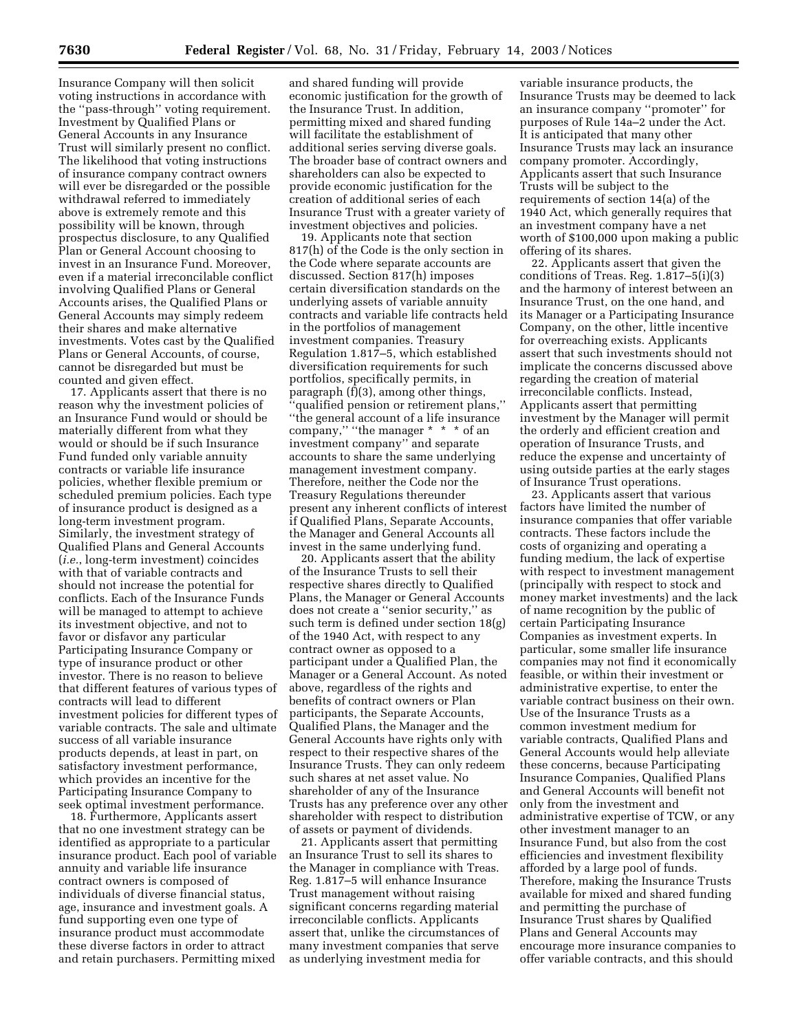Insurance Company will then solicit voting instructions in accordance with the ''pass-through'' voting requirement. Investment by Qualified Plans or General Accounts in any Insurance Trust will similarly present no conflict. The likelihood that voting instructions of insurance company contract owners will ever be disregarded or the possible withdrawal referred to immediately above is extremely remote and this possibility will be known, through prospectus disclosure, to any Qualified Plan or General Account choosing to invest in an Insurance Fund. Moreover, even if a material irreconcilable conflict involving Qualified Plans or General Accounts arises, the Qualified Plans or General Accounts may simply redeem their shares and make alternative investments. Votes cast by the Qualified Plans or General Accounts, of course, cannot be disregarded but must be counted and given effect.

17. Applicants assert that there is no reason why the investment policies of an Insurance Fund would or should be materially different from what they would or should be if such Insurance Fund funded only variable annuity contracts or variable life insurance policies, whether flexible premium or scheduled premium policies. Each type of insurance product is designed as a long-term investment program. Similarly, the investment strategy of Qualified Plans and General Accounts (*i.e.*, long-term investment) coincides with that of variable contracts and should not increase the potential for conflicts. Each of the Insurance Funds will be managed to attempt to achieve its investment objective, and not to favor or disfavor any particular Participating Insurance Company or type of insurance product or other investor. There is no reason to believe that different features of various types of contracts will lead to different investment policies for different types of variable contracts. The sale and ultimate success of all variable insurance products depends, at least in part, on satisfactory investment performance, which provides an incentive for the Participating Insurance Company to seek optimal investment performance.

18. Furthermore, Applicants assert that no one investment strategy can be identified as appropriate to a particular insurance product. Each pool of variable annuity and variable life insurance contract owners is composed of individuals of diverse financial status, age, insurance and investment goals. A fund supporting even one type of insurance product must accommodate these diverse factors in order to attract and retain purchasers. Permitting mixed

and shared funding will provide economic justification for the growth of the Insurance Trust. In addition, permitting mixed and shared funding will facilitate the establishment of additional series serving diverse goals. The broader base of contract owners and shareholders can also be expected to provide economic justification for the creation of additional series of each Insurance Trust with a greater variety of investment objectives and policies.

19. Applicants note that section 817(h) of the Code is the only section in the Code where separate accounts are discussed. Section 817(h) imposes certain diversification standards on the underlying assets of variable annuity contracts and variable life contracts held in the portfolios of management investment companies. Treasury Regulation 1.817–5, which established diversification requirements for such portfolios, specifically permits, in paragraph (f)(3), among other things, ''qualified pension or retirement plans,'' ''the general account of a life insurance company," "the manager \* \* \* of an investment company'' and separate accounts to share the same underlying management investment company. Therefore, neither the Code nor the Treasury Regulations thereunder present any inherent conflicts of interest if Qualified Plans, Separate Accounts, the Manager and General Accounts all invest in the same underlying fund.

20. Applicants assert that the ability of the Insurance Trusts to sell their respective shares directly to Qualified Plans, the Manager or General Accounts does not create a ''senior security,'' as such term is defined under section 18(g) of the 1940 Act, with respect to any contract owner as opposed to a participant under a Qualified Plan, the Manager or a General Account. As noted above, regardless of the rights and benefits of contract owners or Plan participants, the Separate Accounts, Qualified Plans, the Manager and the General Accounts have rights only with respect to their respective shares of the Insurance Trusts. They can only redeem such shares at net asset value. No shareholder of any of the Insurance Trusts has any preference over any other shareholder with respect to distribution of assets or payment of dividends.

21. Applicants assert that permitting an Insurance Trust to sell its shares to the Manager in compliance with Treas. Reg. 1.817–5 will enhance Insurance Trust management without raising significant concerns regarding material irreconcilable conflicts. Applicants assert that, unlike the circumstances of many investment companies that serve as underlying investment media for

variable insurance products, the Insurance Trusts may be deemed to lack an insurance company ''promoter'' for purposes of Rule 14a–2 under the Act. It is anticipated that many other Insurance Trusts may lack an insurance company promoter. Accordingly, Applicants assert that such Insurance Trusts will be subject to the requirements of section 14(a) of the 1940 Act, which generally requires that an investment company have a net worth of \$100,000 upon making a public offering of its shares.

22. Applicants assert that given the conditions of Treas. Reg. 1.817–5(i)(3) and the harmony of interest between an Insurance Trust, on the one hand, and its Manager or a Participating Insurance Company, on the other, little incentive for overreaching exists. Applicants assert that such investments should not implicate the concerns discussed above regarding the creation of material irreconcilable conflicts. Instead, Applicants assert that permitting investment by the Manager will permit the orderly and efficient creation and operation of Insurance Trusts, and reduce the expense and uncertainty of using outside parties at the early stages of Insurance Trust operations.

23. Applicants assert that various factors have limited the number of insurance companies that offer variable contracts. These factors include the costs of organizing and operating a funding medium, the lack of expertise with respect to investment management (principally with respect to stock and money market investments) and the lack of name recognition by the public of certain Participating Insurance Companies as investment experts. In particular, some smaller life insurance companies may not find it economically feasible, or within their investment or administrative expertise, to enter the variable contract business on their own. Use of the Insurance Trusts as a common investment medium for variable contracts, Qualified Plans and General Accounts would help alleviate these concerns, because Participating Insurance Companies, Qualified Plans and General Accounts will benefit not only from the investment and administrative expertise of TCW, or any other investment manager to an Insurance Fund, but also from the cost efficiencies and investment flexibility afforded by a large pool of funds. Therefore, making the Insurance Trusts available for mixed and shared funding and permitting the purchase of Insurance Trust shares by Qualified Plans and General Accounts may encourage more insurance companies to offer variable contracts, and this should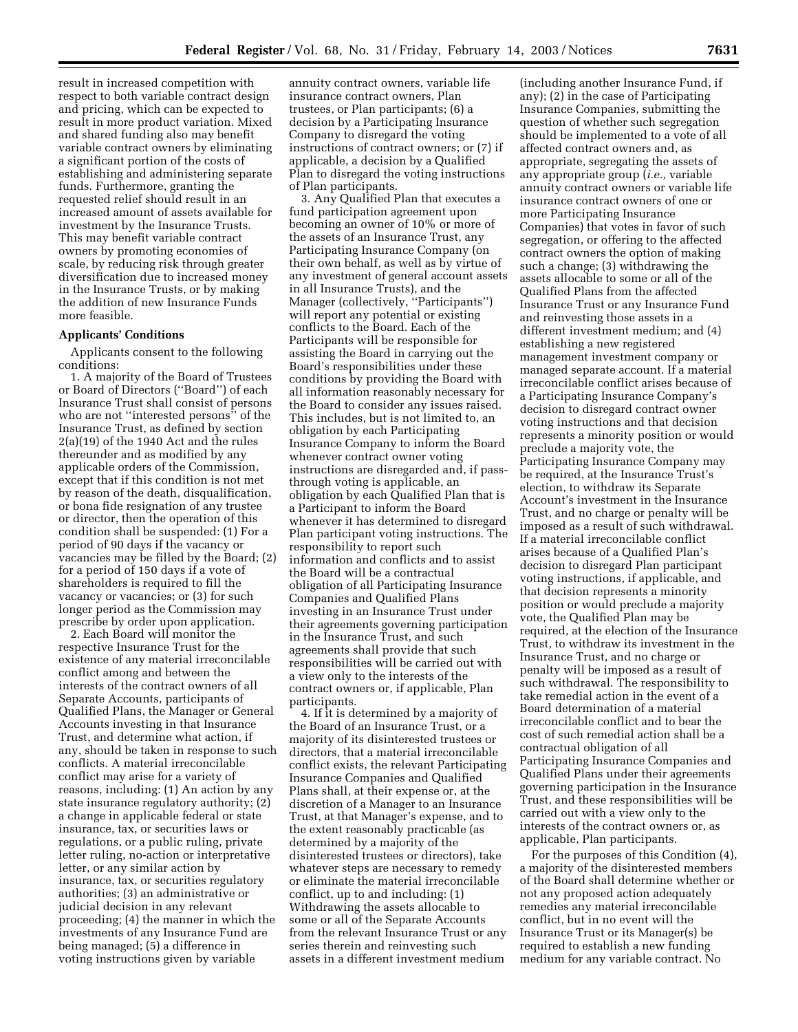result in increased competition with respect to both variable contract design and pricing, which can be expected to result in more product variation. Mixed and shared funding also may benefit variable contract owners by eliminating a significant portion of the costs of establishing and administering separate funds. Furthermore, granting the requested relief should result in an increased amount of assets available for investment by the Insurance Trusts. This may benefit variable contract owners by promoting economies of scale, by reducing risk through greater diversification due to increased money in the Insurance Trusts, or by making the addition of new Insurance Funds more feasible.

## **Applicants' Conditions**

Applicants consent to the following conditions:

1. A majority of the Board of Trustees or Board of Directors (''Board'') of each Insurance Trust shall consist of persons who are not ''interested persons'' of the Insurance Trust, as defined by section 2(a)(19) of the 1940 Act and the rules thereunder and as modified by any applicable orders of the Commission, except that if this condition is not met by reason of the death, disqualification, or bona fide resignation of any trustee or director, then the operation of this condition shall be suspended: (1) For a period of 90 days if the vacancy or vacancies may be filled by the Board; (2) for a period of 150 days if a vote of shareholders is required to fill the vacancy or vacancies; or (3) for such longer period as the Commission may prescribe by order upon application.

2. Each Board will monitor the respective Insurance Trust for the existence of any material irreconcilable conflict among and between the interests of the contract owners of all Separate Accounts, participants of Qualified Plans, the Manager or General Accounts investing in that Insurance Trust, and determine what action, if any, should be taken in response to such conflicts. A material irreconcilable conflict may arise for a variety of reasons, including: (1) An action by any state insurance regulatory authority; (2) a change in applicable federal or state insurance, tax, or securities laws or regulations, or a public ruling, private letter ruling, no-action or interpretative letter, or any similar action by insurance, tax, or securities regulatory authorities; (3) an administrative or judicial decision in any relevant proceeding; (4) the manner in which the investments of any Insurance Fund are being managed; (5) a difference in voting instructions given by variable

annuity contract owners, variable life insurance contract owners, Plan trustees, or Plan participants; (6) a decision by a Participating Insurance Company to disregard the voting instructions of contract owners; or (7) if applicable, a decision by a Qualified Plan to disregard the voting instructions of Plan participants.

3. Any Qualified Plan that executes a fund participation agreement upon becoming an owner of 10% or more of the assets of an Insurance Trust, any Participating Insurance Company (on their own behalf, as well as by virtue of any investment of general account assets in all Insurance Trusts), and the Manager (collectively, ''Participants'') will report any potential or existing conflicts to the Board. Each of the Participants will be responsible for assisting the Board in carrying out the Board's responsibilities under these conditions by providing the Board with all information reasonably necessary for the Board to consider any issues raised. This includes, but is not limited to, an obligation by each Participating Insurance Company to inform the Board whenever contract owner voting instructions are disregarded and, if passthrough voting is applicable, an obligation by each Qualified Plan that is a Participant to inform the Board whenever it has determined to disregard Plan participant voting instructions. The responsibility to report such information and conflicts and to assist the Board will be a contractual obligation of all Participating Insurance Companies and Qualified Plans investing in an Insurance Trust under their agreements governing participation in the Insurance Trust, and such agreements shall provide that such responsibilities will be carried out with a view only to the interests of the contract owners or, if applicable, Plan participants.

4. If it is determined by a majority of the Board of an Insurance Trust, or a majority of its disinterested trustees or directors, that a material irreconcilable conflict exists, the relevant Participating Insurance Companies and Qualified Plans shall, at their expense or, at the discretion of a Manager to an Insurance Trust, at that Manager's expense, and to the extent reasonably practicable (as determined by a majority of the disinterested trustees or directors), take whatever steps are necessary to remedy or eliminate the material irreconcilable conflict, up to and including: (1) Withdrawing the assets allocable to some or all of the Separate Accounts from the relevant Insurance Trust or any series therein and reinvesting such assets in a different investment medium

(including another Insurance Fund, if any); (2) in the case of Participating Insurance Companies, submitting the question of whether such segregation should be implemented to a vote of all affected contract owners and, as appropriate, segregating the assets of any appropriate group (*i.e.,* variable annuity contract owners or variable life insurance contract owners of one or more Participating Insurance Companies) that votes in favor of such segregation, or offering to the affected contract owners the option of making such a change; (3) withdrawing the assets allocable to some or all of the Qualified Plans from the affected Insurance Trust or any Insurance Fund and reinvesting those assets in a different investment medium; and (4) establishing a new registered management investment company or managed separate account. If a material irreconcilable conflict arises because of a Participating Insurance Company's decision to disregard contract owner voting instructions and that decision represents a minority position or would preclude a majority vote, the Participating Insurance Company may be required, at the Insurance Trust's election, to withdraw its Separate Account's investment in the Insurance Trust, and no charge or penalty will be imposed as a result of such withdrawal. If a material irreconcilable conflict arises because of a Qualified Plan's decision to disregard Plan participant voting instructions, if applicable, and that decision represents a minority position or would preclude a majority vote, the Qualified Plan may be required, at the election of the Insurance Trust, to withdraw its investment in the Insurance Trust, and no charge or penalty will be imposed as a result of such withdrawal. The responsibility to take remedial action in the event of a Board determination of a material irreconcilable conflict and to bear the cost of such remedial action shall be a contractual obligation of all Participating Insurance Companies and Qualified Plans under their agreements governing participation in the Insurance Trust, and these responsibilities will be carried out with a view only to the interests of the contract owners or, as applicable, Plan participants.

For the purposes of this Condition (4), a majority of the disinterested members of the Board shall determine whether or not any proposed action adequately remedies any material irreconcilable conflict, but in no event will the Insurance Trust or its Manager(s) be required to establish a new funding medium for any variable contract. No